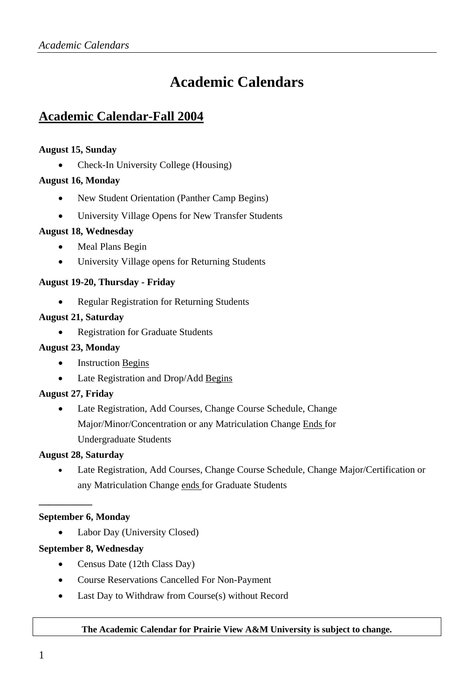# **Academic Calendars**

# **Academic Calendar-Fall 2004**

## **August 15, Sunday**

• Check-In University College (Housing)

## **August 16, Monday**

- New Student Orientation (Panther Camp Begins)
- University Village Opens for New Transfer Students

#### **August 18, Wednesday**

- Meal Plans Begin
- University Village opens for Returning Students

## **August 19-20, Thursday - Friday**

• Regular Registration for Returning Students

#### **August 21, Saturday**

• Registration for Graduate Students

#### **August 23, Monday**

- Instruction Begins
- Late Registration and Drop/Add Begins

#### **August 27, Friday**

• Late Registration, Add Courses, Change Course Schedule, Change Major/Minor/Concentration or any Matriculation Change Ends for Undergraduate Students

#### **August 28, Saturday**

• Late Registration, Add Courses, Change Course Schedule, Change Major/Certification or any Matriculation Change ends for Graduate Students

#### **September 6, Monday**

**\_\_\_\_\_\_\_\_\_\_\_** 

Labor Day (University Closed)

#### **September 8, Wednesday**

- Census Date (12th Class Day)
- Course Reservations Cancelled For Non-Payment
- Last Day to Withdraw from Course(s) without Record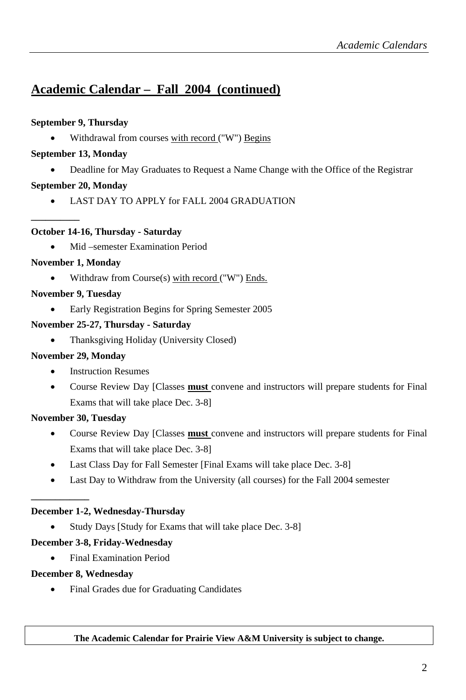# **Academic Calendar – Fall 2004 (continued)**

## **September 9, Thursday**

Withdrawal from courses with record ("W") Begins

## **September 13, Monday**

• Deadline for May Graduates to Request a Name Change with the Office of the Registrar

# **September 20, Monday**

**\_\_\_\_\_\_\_\_\_\_** 

• LAST DAY TO APPLY for FALL 2004 GRADUATION

## **October 14-16, Thursday - Saturday**

• Mid –semester Examination Period

## **November 1, Monday**

• Withdraw from Course(s) with record ("W") Ends.

# **November 9, Tuesday**

• Early Registration Begins for Spring Semester 2005

## **November 25-27, Thursday - Saturday**

• Thanksgiving Holiday (University Closed)

## **November 29, Monday**

- **Instruction Resumes**
- Course Review Day [Classes **must** convene and instructors will prepare students for Final Exams that will take place Dec. 3-8]

# **November 30, Tuesday**

**\_\_\_\_\_\_\_\_\_\_\_\_** 

- Course Review Day [Classes **must** convene and instructors will prepare students for Final Exams that will take place Dec. 3-8]
- Last Class Day for Fall Semester [Final Exams will take place Dec. 3-8]
- Last Day to Withdraw from the University (all courses) for the Fall 2004 semester

# **December 1-2, Wednesday-Thursday**

Study Days [Study for Exams that will take place Dec. 3-8]

# **December 3-8, Friday-Wednesday**

• Final Examination Period

## **December 8, Wednesday**

• Final Grades due for Graduating Candidates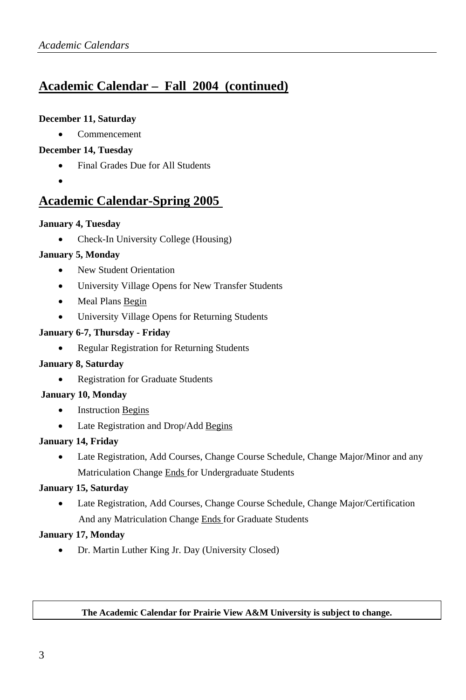# **Academic Calendar – Fall 2004 (continued)**

#### **December 11, Saturday**

• Commencement

## **December 14, Tuesday**

- Final Grades Due for All Students
- •

# **Academic Calendar-Spring 2005**

## **January 4, Tuesday**

• Check-In University College (Housing)

## **January 5, Monday**

- New Student Orientation
- University Village Opens for New Transfer Students
- Meal Plans Begin
- University Village Opens for Returning Students

## **January 6-7, Thursday - Friday**

• Regular Registration for Returning Students

#### **January 8, Saturday**

• Registration for Graduate Students

#### **January 10, Monday**

- Instruction Begins
- Late Registration and Drop/Add Begins

#### **January 14, Friday**

• Late Registration, Add Courses, Change Course Schedule, Change Major/Minor and any Matriculation Change Ends for Undergraduate Students

## **January 15, Saturday**

• Late Registration, Add Courses, Change Course Schedule, Change Major/Certification And any Matriculation Change Ends for Graduate Students

#### **January 17, Monday**

• Dr. Martin Luther King Jr. Day (University Closed)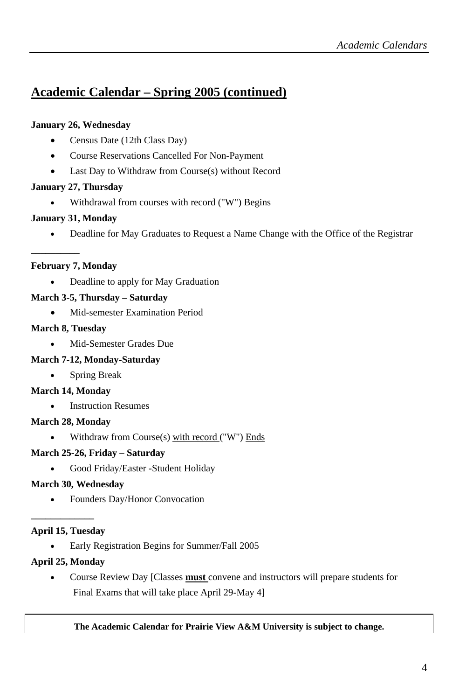# **Academic Calendar – Spring 2005 (continued)**

## **January 26, Wednesday**

- Census Date (12th Class Day)
- Course Reservations Cancelled For Non-Payment
- Last Day to Withdraw from Course(s) without Record

## **January 27, Thursday**

• Withdrawal from courses with record ("W") Begins

## **January 31, Monday**

• Deadline for May Graduates to Request a Name Change with the Office of the Registrar

## **February 7, Monday**

**\_\_\_\_\_\_\_\_\_\_** 

• Deadline to apply for May Graduation

# **March 3-5, Thursday – Saturday**

• Mid-semester Examination Period

## **March 8, Tuesday**

• Mid-Semester Grades Due

# **March 7-12, Monday-Saturday**

• Spring Break

## **March 14, Monday**

• Instruction Resumes

## **March 28, Monday**

• Withdraw from Course(s) with record ("W") Ends

# **March 25-26, Friday – Saturday**

• Good Friday/Easter -Student Holiday

## **March 30, Wednesday**

• Founders Day/Honor Convocation

# **\_\_\_\_\_\_\_\_\_\_\_\_\_ April 15, Tuesday**

• Early Registration Begins for Summer/Fall 2005

# **April 25, Monday**

• Course Review Day [Classes **must** convene and instructors will prepare students for Final Exams that will take place April 29-May 4]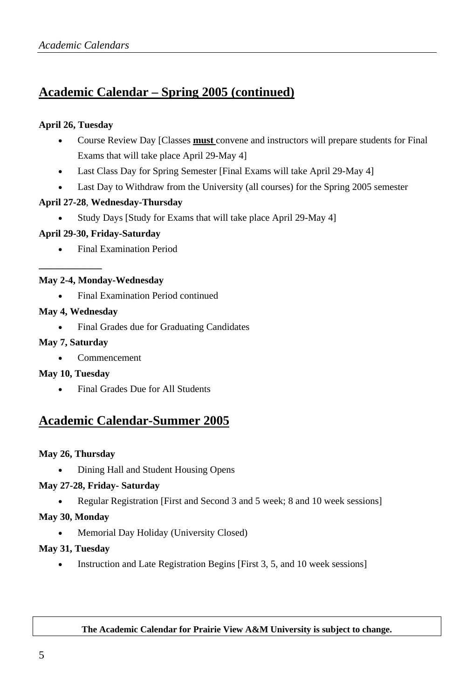# **Academic Calendar – Spring 2005 (continued)**

## **April 26, Tuesday**

- Course Review Day [Classes **must** convene and instructors will prepare students for Final Exams that will take place April 29-May 4]
- Last Class Day for Spring Semester [Final Exams will take April 29-May 4]
- Last Day to Withdraw from the University (all courses) for the Spring 2005 semester

#### **April 27-28**, **Wednesday-Thursday**

• Study Days [Study for Exams that will take place April 29-May 4]

## **April 29-30, Friday-Saturday**

• Final Examination Period

## **May 2-4, Monday-Wednesday**

• Final Examination Period continued

## **May 4, Wednesday**

**\_\_\_\_\_\_\_\_\_\_\_\_\_** 

• Final Grades due for Graduating Candidates

#### **May 7, Saturday**

• Commencement

#### **May 10, Tuesday**

• Final Grades Due for All Students

# **Academic Calendar-Summer 2005**

## **May 26, Thursday**

• Dining Hall and Student Housing Opens

#### **May 27-28, Friday- Saturday**

• Regular Registration [First and Second 3 and 5 week; 8 and 10 week sessions]

## **May 30, Monday**

• Memorial Day Holiday (University Closed)

#### **May 31, Tuesday**

• Instruction and Late Registration Begins [First 3, 5, and 10 week sessions]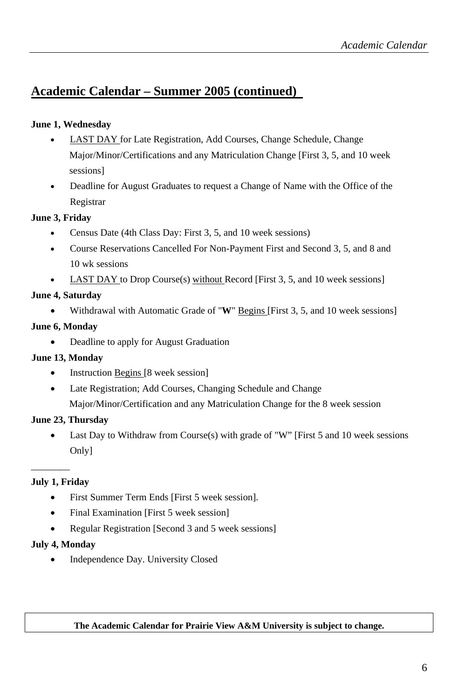# **Academic Calendar – Summer 2005 (continued)**

## **June 1, Wednesday**

- LAST DAY for Late Registration, Add Courses, Change Schedule, Change Major/Minor/Certifications and any Matriculation Change [First 3, 5, and 10 week sessions]
- Deadline for August Graduates to request a Change of Name with the Office of the Registrar

## **June 3, Friday**

- Census Date (4th Class Day: First 3, 5, and 10 week sessions)
- Course Reservations Cancelled For Non-Payment First and Second 3, 5, and 8 and 10 wk sessions
- **LAST DAY** to Drop Course(s) without Record [First 3, 5, and 10 week sessions]

## **June 4, Saturday**

• Withdrawal with Automatic Grade of "**W**" Begins [First 3, 5, and 10 week sessions]

## **June 6, Monday**

• Deadline to apply for August Graduation

# **June 13, Monday**

- Instruction Begins [8 week session]
- Late Registration; Add Courses, Changing Schedule and Change Major/Minor/Certification and any Matriculation Change for the 8 week session

# **June 23, Thursday**

• Last Day to Withdraw from Course(s) with grade of "W" [First 5 and 10 week sessions Only]

# **July 1, Friday**

 $\overline{\phantom{a}}$   $\overline{\phantom{a}}$ 

- First Summer Term Ends [First 5 week session].
- Final Examination [First 5 week session]
- Regular Registration [Second 3 and 5 week sessions]

## **July 4, Monday**

• Independence Day. University Closed